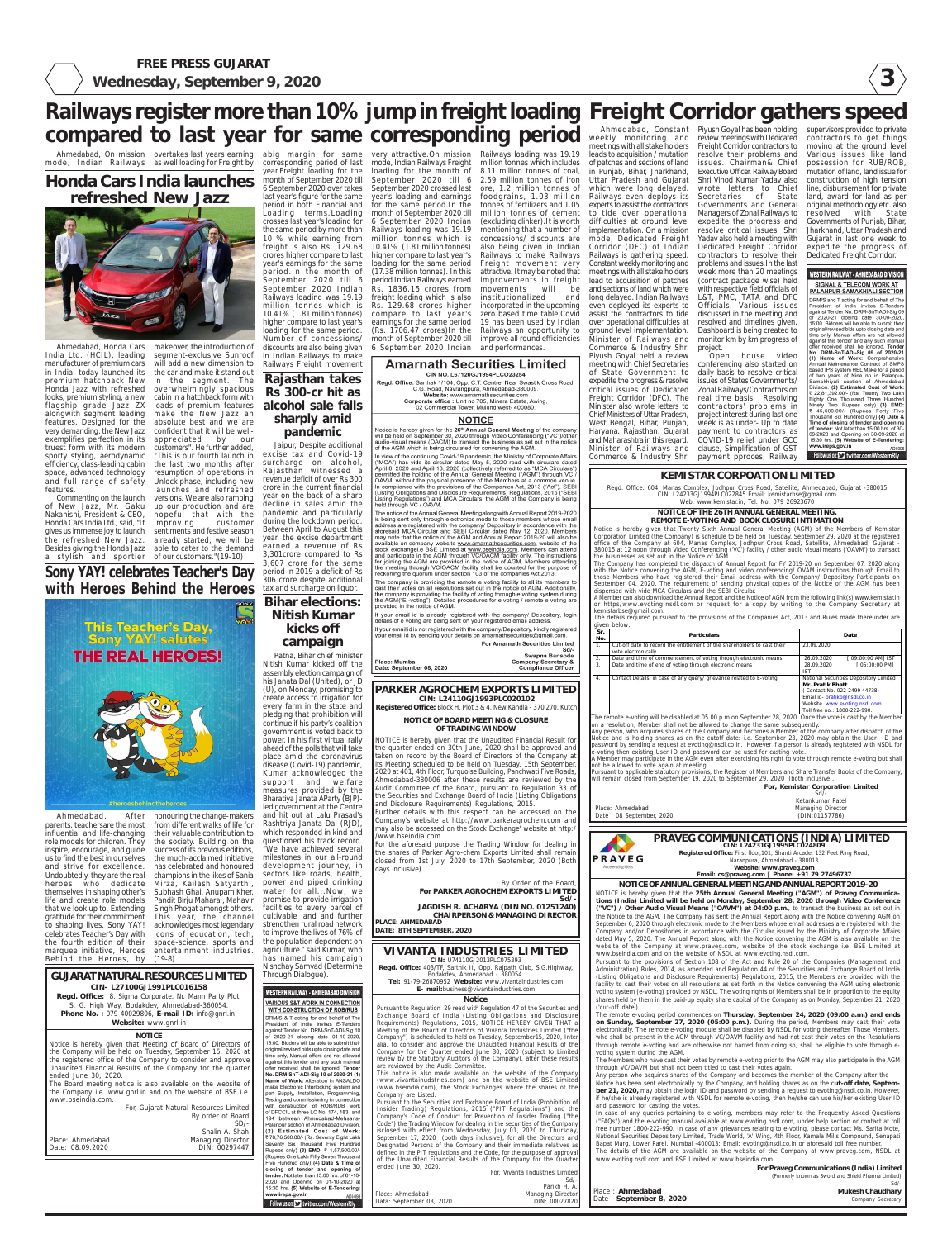**3**

#### WESTERN RAILWAY - AHMEDABAD DIVISION

**SIGNAL & TELECOM WORK AT** <u>PALANPUR-SAMAKHIALI SECTIOI</u> DRM/S and T acting for and behalf of Th President of India invites E-Tender<br>against Tender No. DRM-SnT-ADI-Sig 09 of 2020-21 closing date 30-09-2020<br>15:00. Bidders will be able to submit their priginal/revised bids upto closing date and ime only, Manual offers are not allowe against this tender and any such manua against this tender and any such manual offer received shall be ignored. Tender<br>No. DRM-SnT-ADI-Sig 09 of 2020-2<br>(1) Name of Work: Comprehensive<br>Annual Maintenance Contract of SMPS based IPS system HBL Make for a period of two years of Nine no in Palanpur<br>Samakhiyali section of Ahmedaba livision (2) Estimated Cost of Work 22,81,392.00/- (Rs. Twenty Two Laki Eighty One Thousand Three Hundree<br>Ninety Two Rupees only) (3) EMD 45.600.00/- (Runees Forty Five Thousand Six Hundred only) (4) Date &<br>Thousand Six Hundred only) (4) Date & of tender: Not later than 15:00 hrs. of 30<br>09-2020 and Opening on 30-09-2020 a 15:30 hrs. (5) Website of E-Tendering www.ireps.gov.in  $ADI-0S$ 

Follow us on: vitter.com/Weste

**FREE PRESS GUJARAT**

**Wednesday, September 9, 2020**

**PRAVEG COMMUNICATIONS (INDIA) LIMITED CIN: L24231GJ1995PLC024809 Registered Office:** First floor,101, Shanti Arcade, 132 Feet Ring Road, Naranpura, Ahmedabad - 380013 **Website: www.praveg.com**

**Email: cs@praveg.com | Phone: +91 79 27496737**

|                  | For Praveg Communications (India) Limited           |
|------------------|-----------------------------------------------------|
|                  | (Formerly known as Sword and Shield Pharma Limited) |
|                  | $Sd/-$                                              |
| Ahmedabad        | <b>Mukesh Chaudhary</b>                             |
| eptember 8, 2020 | Company Secretary                                   |

**NOTICE OF ANNUAL GENERAL MEETING AND ANNUAL REPORT 2019-20** NOTICE is hereby given that the **25th Annual General Meeting ("AGM") of Praveg Communications (India) Limited will be held on Monday, September 28, 2020 through Video Conference ("VC") / Other Audio Visual Means ("OAVM") at 04:00 p.m.**, to transact the business as set out in the Notice to the AGM. The Company has sent the Annual Report along with the Notice convening AGM on September 6, 2020 through electronic mode to the Members whose email addresses are registered with the Company and/or Depositories in accordance with the Circular issued by the Ministry of Corporate Affairs dated May 5, 2020. The Annual Report along with the Notice convening the AGM is also available on the website of the Company at www.praveg.com, website of the stock exchange i.e. BSE Limited at www.bseindia.com and on the website of NSDL at www.evoting.nsdl.com.

Pursuant to the provisions of Section 108 of the Act and Rule 20 of the Companies (Management and Administration) Rules, 2014, as amended and Regulation 44 of the Securities and Exchange Board of India (Listing Obligations and Disclosure Requirements) Regulations, 2015, the Members are provided with the facility to cast their votes on all resolutions as set forth in the Notice convening the AGM using electronic voting system (e-voting) provided by NSDL. The voting rights of Members shall be in proportion to the equity shares held by them in the paid-up equity share capital of the Company as on Monday, September 21, 2020 ('cut-off date').

The remote e-voting period commences on **Thursday, September 24, 2020 (09:00 a.m.) and ends on Sunday, September 27, 2020 (05:00 p.m.).** During the period, Members may cast their vote electronically. The remote e-voting module shall be disabled by NSDL for voting thereafter. Those Members, who shall be present in the AGM through VC/OAVM facility and had not cast their votes on the Resolutions through remote e-voting and are otherwise not barred from doing so, shall be eligible to vote through evoting system during the AGM.

The Members who have cast their votes by remote e-voting prior to the AGM may also participate in the AGM through VC/OAVM but shall not been titled to cast their votes again.

Any person who acquires shares of the Company and becomes the member of the Company after the Notice has been sent electronically by the Company, and holding shares as on the c**ut-off date, September 21, 2020,** may obtain the login ID and password by sending a request to evoting@nsdl.co.in. However, if he/she is already registered with NSDL for remote e-voting, then he/she can use his/her existing User ID and password for casting the votes.

project interest during last one week is as under- Up to date payment to contractors as COVID-19 relief under GCC clause, Simplification of GST payment pproces, Railway

#### Railways register more than 10% jump in freight loading Freight Corridor gathers speed Ahmedabad, Constant Piyush Goyal has been holding weekly monitoring and review meetings with Dedicated **compared to last year for same corresponding period**

Ahmedabad, On mission overtakes last years earning abig margin for same very attractive.On mission Railways loading was 19.19 mode, Indian Railways as well loading for Freight by

> In case of any queries pertaining to e-voting, members may refer to the Frequently Asked Questions ("FAQs") and the e-voting manual available at www.evoting.nsdl.com, under help section or contact at toll free number 1800-222-990. In case of any grievances relating to e-voting, please contact Ms. Sarita Mote, National Securities Depository Limited, Trade World, 'A' Wing, 4th Floor, Kamala Mills Compound, Senapati Bapat Marg, Lower Parel, Mumbai -400013; Email: evoting@nsdl.co.in or aforesaid toll free number.

> The details of the AGM are available on the website of the Company at www.praveg.com, NSDL at www.evoting.nsdl.com and BSE Limited at www.bseindia.com.

and performances. **Amarnath Securities Limited** CIN NO. L67120GJ1994PLCO23254 Regd, Office: Sarthak 1/104, Opp. C.T. Centre, Near Swastik Cross Road, C.G. Road, Navrangpura, Ahmedabad-380009. U. Website: www.amarinalheeurities.com<br>Corporate office : Unit no 705, Minera Estate, Awing

02 Commercial Tower, Mulund west- 400080

#### **NOTICE**

Notice is hereby given for the 26<sup>th</sup> Annual General Meeting of the company A will be held on September 30, 2020 through Video Conferencing ("VC")/other<br>audio-visual means (OACM) to transact the business as set out in the notice of the AGM which is being circulated for convening the AGM.

In view of the continuing Covid-19 pandemic, the Ministry of Corporate Affairs " NCA") has vide its circular dated May 5, 2020 read with circulars dated<br>April 8, 2020 and April 13, 2020 (collectively referred to as "MCA Circulars" bermitted the holding of the Annual General Meeting ("AGM") through VC DAVM, without the physical presence of the Members at a common venue In compliance with the provisions of the Companies at a commutative Reset<br>In compliance with the provisions of the Companies Act, 2013 ("Act"), SEBI<br>(Listing Obligations and Disclosure Requirements) Regulations, 2015 ("SEB Listing Regulations") and MCA Circulars, the AGM of the Company is being held through VC / OAVM.

The notice of the Annual General Meetingalong with Annual Report 2019-2020 is being sent only through electronics mode to those members whose email<br>address are registered with the company/ Depository in accordance with the aforesaid MCA Circular and SEBI Circular dated May 12, 2020. Members may note that the notice of the AGM and Annual Report 2019-20 will also be available on company website www.amarinathsecurities.com, website of the<br>stock exchange e BSE Limited at www.bseindia.com. Members can attend and participate in the AGM through VC/OACM facility only. The instructions<br>for joining the AGM are provided in the notice of AGM. Members attending the meeting through VC/OACM facility shall be counted for the purpose of<br>reckoning the quorum under section 103 of the companies Act 2013.

The company is providing the remote e voting facility to all its members to cast their votes on all resolutions set out in the notice of AGM. Additionally the company is providing the facility of voting through e voting system during the AGM("E -voting"). Detailed procedures for e voting / remote e voting are provided in the notice of AGM.

If your email id is already registered with the company/ Depository, logir details of e voting are being sent on your registered email address.

If your email id is not registered with the company/Depository, kindly registered your email id by sending your details on amarnathsecurities@gmail.com. **For Amarnath Securities Limited** 

Swapna Bansode

**Company Secretary &<br>Compliance Officer** 

Place: Mumbai Date: September 08, 2020 West Bengal, Bihar, Punjab, Haryana, Rajasthan, Gujarat and Maharashtra in this regard. Minister of Railways and Commerce & Industry Shri

Freight Corridor contractors to resolve their problems and issues. Chairman& Chief Executive Officer, Railway Board Shri Vinod Kumar Yadav also wrote letters to Chief Secretaries of State Governments and General Managers of Zonal Railways to expedite the progress and resolve critical issues. Shri Yadav also held a meeting with Dedicated Freight Corridor contractors to resolve their problems and issues.In the last week more than 20 meetings (contract package wise) held with respective field officials of L&T, PMC, TATA and DFC Officials. Various issues discussed in the meeting and resolved and timelines given. Dashboard is being created to monitor km by km progress of project. Open house video conferencing also started on daily basis to resolve critical issues of States Governments/ Zonal Railways/Contractors on real time basis. Resolving contractors' problems in

on a resolution, Member shall not be allowed to change the same subsequently. Any person, who acquires shares of the Company and becomes a Member of the company after dispatch of the

Notice and is holding shares as on the cutoff date: i.e. September 23, 2020 may obtain the User ID and password by sending a request at evoting@nsdl.co.in. However if a person is already registered with NSDL for voting then existing User ID and password can be used for casting vote.

meetings with all stake holders leads to acquisition / mutation of patches and sections of land in Punjab, Bihar, Jharkhand, Uttar Pradesh and Gujarat which were long delayed. Railways even deploys its experts to assist the contractors to tide over operational difficulties at ground level implementation. On a mission mode, Dedicated Freight Corridor (DFC) of Indian Railways is gathering speed. Constant weekly monitoring and meetings with all stake holders lead to acquisition of patches and sections of land which were long delayed. Indian Railways even deployed its experts to assist the contractors to tide over operational difficulties at ground level implementation. Minister of Railways and Commerce & Industry Shri Piyush Goyal held a review meeting with Chief Secretaries of State Government to expedite the progress & resolve critical issues of Dedicated Freight Corridor (DFC). The Minister also wrote letters to Chief Ministers of Uttar Pradesh, million tonnes which includes 8.11 million tonnes of coal, 2.59 million tonnes of iron ore, 1.2 million tonnes of

#### Place : **A** Date: So Sd/- Parikh H. A. DIN: 00027820

supervisors provided to private contractors to get things moving at the ground level Various issues like land possession for RUB/ROB, mutation of land, land issue for construction of high tension line, disbursement for private land, award for land as per original methodology etc. also resolved with State Governments of Punjab, Bihar, Jharkhand, Uttar Pradesh and Gujarat in last one week to expedite the progress of Dedicated Freight Corridor.

corresponding period of last year.Freight loading for the month of September 2020 till 6 September 2020 over takes last year's figure for the same period in both Financial and for the same period.In the Loading terms.Loading month of September 2020 till crosses last year's loading for the same period by more than 10 % while earning from million tonnes which is freight is also Rs. 129.68 crores higher compare to last year's earnings for the same period.In the month of September 2020 till 6 September 2020 Indian Railways loading was 19.19 freight loading which is also mode, Indian Railways Freight loading for the month of September 2020 till 6 September 2020 crossed last year's loading and earnings 6 September 2020 Indian Railways loading was 19.19 10.41% (1.81 million tonnes) higher compare to last year's loading for the same period (17.38 million tonnes). In this period Indian Railways earned Rs. 1836.15 crores from Rs. 129.68 crores higher compare to last year's earnings for the same period (Rs. 1706.47 crores)In the month of September 2020 till 6 September 2020 Indian

After honouring the change-makers from different walks of life for their valuable contribution to the society. Building on the success of its previous editions, the much-acclaimed initiative has celebrated and honoured champions in the likes of Sania Singh Phogat amongst others. This year, the channel acknowledges most legendary icons of education, tech,

Ahmedabad, parents, teachersare the most influential and life-changing role models for children. They inspire, encourage, and guide us to find the best in ourselves and strive for excellence. Undoubtedly, they are the real heroes who dedicate Mirza, Kailash Satyarthi, themselves in shaping other's Subhash Ghai, Anupam Kher, life and create role models Pandit Birju Maharaj, Mahavir that we look up to. Extending gratitude for their commitment to shaping lives, Sony YAY! celebrates Teacher's Day with the fourth edition of their space-science, sports and marquee initiative, Heroes entertainment industries. Behind the Heroes, by (19-8)

foodgrains, 1.03 million tonnes of fertilizers and 1.05 million tonnes of cement (excluding clinker).It is worth mentioning that a number of concessions/ discounts are also being given in Indian Railways to make Railways Freight movement very attractive. It may be noted that improvements in freight movements will be institutionalized and incorporated in the upcoming zero based time table.Covid 19 has been used by Indian Railways an opportunity to improve all round efficiencies

### **KEMISTAR CORPOATION LIMITED**

Regd. Office: 604, Manas Complex, Jodhpur Cross Road, Satellite, Ahmedabad, Gujarat -380015 CIN: L24233GJ1994PLC022845 Email: kemistarbse@gmail.com Web: www.kemistar.in, Tel. No. 079 26923670

**For, Kemistar Corporation Limited**

For the aforesaid purpose the Trading Window for dealing in the shares of Parker Agro-chem Exports Limited shall remain closed from 1st July, 2020 to 17th September, 2020 (Both days inclusive).

Sd/- Ketankumar Patel Managing Director (DIN:01157786)

Place: Ahmedabad Date : 08 September, 2020

**PRAVEG** 

#### **NOTICE OF THE 26TH ANNUAL GENERAL MEETING, REMOTE E-VOTING AND BOOK CLOSURE INTIMATION**

Notice is hereby given that Twenty Sixth Annual General Meeting (AGM) of the Members of Kemistar Corporation Limited (the Company) is schedule to be held on Tuesday, September 29, 2020 at the registered office of the Company at 604, Manas Complex, Jodhpur Cross Road, Satellite, Ahmedabad, Gujarat - 380015 at 12 noon through Video Conferencing ('VC') facility / other audio visual means ('OAVM') to transact the businesses as set out in the Notice of AGM.

The Company has completed the dispatch of Annual Report for FY 2019-20 on September 07, 2020 along with the Notice convening the AGM, E-voting and video conferencing/ OVAM instructions through Email to those Members who have registered their Email address with the Company/ Depository Participants on September 04, 2020. The requirement of sending physical copies of the Notice of the AGM has been dispensed with vide MCA Circulars and the SEBI Circular.

#### Through Dialogue).**WESTERN RAILWAY - AHMEDABAD DIVISION VARIOUS S&T WORK IN CONNECTION WITH CONSTRUCTION OF ROB/RUB** DRM/S & T acting for and behalf of The President of India invites E-Tender against Tender No. DRM-SnT-ADI-Sig 1 of 2020-21 closing date 01-10-2020<br>15:00. Bidders will be able to submit their original/revised bids upto closing date an time only, Manual offers are not allowe against this tender and any such manua offer received shall be ignored. Tende No. DRM-SnT-ADI-Sig 10 of 2020-21 (1) Name of Work: Alteration in ANSALDC make Electronic Interlocking system and part Supply, Installation, Programming, Testing and commissioning in connection<br>with construction of ROB/RUB work of DFCCIL at three LC No. 174, 183 and 194 between Ahmedabad-Mehsana Palanpur section of Ahmedabad Division (2) Estimated Cost of Work 78,76,500.00/- (Rs. Seventy Eight Laki Seventy Six Thousand Five Hundred Rupees only) (3) EMD: ₹ 1,57,500.00/ Rupees One Lakh Fifty Seven Thousan .<br>Five Hundred only) (4) Date & Time of closing of tender and opening of tender: Not later than 15:00 hrs. of 01-10-2020 and Opening on 01-10-2020 a 15:30 hrs. (5) Website of E-Tendering www.ireps.gov.in ADI-09 Follow us on: Col twitter.com/WesternRly

A Member can also download the Annual Report and the Notice of AGM from the following link(s) www.kemistar.in or https/www.evoting.nsdl.com or request for a copy by writing to the Company Secretary at kemistarbse@gmail.com.

The details required pursuant to the provisions of the Companies Act, 2013 and Rules made thereunder are given below:

|                  | 9.7.01.0010                                                                                     |                                                                                                                                                                                            |  |  |  |  |
|------------------|-------------------------------------------------------------------------------------------------|--------------------------------------------------------------------------------------------------------------------------------------------------------------------------------------------|--|--|--|--|
| Sr.<br>No.       | <b>Particulars</b>                                                                              | Date                                                                                                                                                                                       |  |  |  |  |
| $\mathbf{1}$ .   | Cut-off date to record the entitlement of the shareholders to cast their<br>vote electronically | 23.09.2020                                                                                                                                                                                 |  |  |  |  |
| 2.               | Date and time of commencement of voting through electronic means                                | [ 09:00:00 AMI IST<br>26.09.2020                                                                                                                                                           |  |  |  |  |
| $\overline{3}$ . | Date and time of end of voting through electronic means                                         | [ 05:00:00 PM]<br>28.09.2020<br><b>IST</b>                                                                                                                                                 |  |  |  |  |
| $\overline{4}$ . | Contact Details, in case of any query/ grievance related to E-voting                            | National Securities Depository Limited<br>Mr. Pratik Bhatt<br>(Contact No. 022-2499 44738)<br>Email id- pratikb@nsdl.co.in<br>Website www.evoting.nsdl.com<br>Toll free no.: 1800-222-990. |  |  |  |  |

The remote e-voting will be disabled at 05.00 p.m on September 28, 2020. Once the vote is cast by the Member

A Member may participate in the AGM even after exercising his right to vote through remote e-voting but shall not be allowed to vote again at meeting.

Pursuant to applicable statutory provisions, the Register of Members and Share Transfer Books of the Company, will remain closed from September 19, 2020 to September 29, 2020 (both inclusive).

## **VIVANTA INDUSTRIES LIMITED**

**CIN:** U74110GJ2013PLC075393 **Regd. Office:** 403/TF, Sarthik II, Opp. Rajpath Club, S.G.Highway, Bodakdev, Ahmedabad - 380054. **Tel:** 91-79-26870952 **Website:** www.vivantaindustries.com **E- mail:**business@vivantaindustries.com

#### **Notice**

Place: Ahmedabad Data: September 08, 2020

For, Vivanta Industries Limited

Managing Director

Pursuant to Regulation 29 read with Regulation 47 of the Securities and Exchange Board of India (Listing Obligations and Disclosure Requirements) Regulations, 2015, NOTICE HEREBY GIVEN THAT a Meeting of the Board of Directors of Vivanta Industries Limited ("the Company") is scheduled to held on Tuesday, September15, 2020, Inter alia, to consider and approve the Unaudited Financial Results of the Company for the Quarter ended June 30, 2020 (subject to Limited review by the Statutory Auditors of the Company), after these results are reviewed by the Audit Committee.

million tonnes which is 10.41% (1.81 million tonnes) higher compare to last year's loading for the same period. Number of concessions/ discounts are also being given in Indian Railways to make Railways Freight movement **Rajasthan takes**

> This notice is also made available on the website of the Company (www.vivantainudstries.com) and on the website of BSE Limited (www.bseindia.com), the Stock Exchanges where the shares of the Company are Listed.

Pursuant to the Securities and Exchange Board of India (Prohibition of Insider Trading) Regulations, 2015 ("PIT Regulations") and the Company's Code of Conduct for Prevention of Insider Trading ("the Code") the Trading Window for dealing in the securities of the Company isclosed with effect from Wednesday, July 01, 2020 to Thursday, September 17, 2020 (both days inclusive), for all the Directors and Designated Persons of the Company and their immediate relatives as defined in the PIT regulations and the Code, for the purpose of approval of the Unaudited Financial Results of the Company for the Quarter ended June 30, 2020.

**CIN- L27100GJ1991PLC016158 Regd. Office:** 8, Sigma Corporate, Nr. Mann Party Plot, S. G. High Way, Bodakdev, Ahmedabad-360054. **Phone No. :** 079-40029806, **E-mail ID:** info@gnrl.in, **Website:** www.gnrl.in **NOTICE** Notice is hereby given that Meeting of Board of Directors of the Company will be held on Tuesday, September 15, 2020 at the registered office of the Company to consider and approve Unaudited Financial Results of the Company for the quarter ended June 30, 2020. **GUJARAT NATURAL RESOURCES LIMITED**

The Board meeting notice is also available on the website of the Company i.e. www.gnrl.in and on the website of BSE i.e. www.bseindia.com.

Place: Ahmedabad Date: 08.09.2020

For, Gujarat Natural Resources Limited By order of Board  $SD/$ Shalin A. Shah

> Managing Director DIN: 00297447



# **Honda Cars India launches refreshed New Jazz**



**Sony YAY! celebrates Teacher's Day** the refreshed New Jazz. already started, we will be Besides giving the Honda Jazz able to cater to the demand a stylish and sportier of our customers."(19-10) hopeful that with the improving customer sentiments and festive season

India Ltd. (HCIL), leading manufacturer of premium cars in India, today launched its premium hatchback New in the segment. The Honda Jazz with refreshed overwhelmingly spacious looks, premium styling, a new flagship grade Jazz ZX loads of premium features alongwith segment leading make the New Jazz an features. Designed for the very demanding, the New Jazz confident that it will be wellexemplifies perfection in its truest form with its modern sporty styling, aerodynamic efficiency, class-leading cabin space, advanced technology and full range of safety features.

Commenting on the launch of New Jazz, Mr. Gaku up our production and are Nakanishi, President & CEO, Honda Cars India Ltd., said, "It gives us immense joy to launch

Ahmedabad, Honda Cars makeover, the introduction of segment-exclusive Sunroof will add a new dimension to the car and make it stand out cabin in a hatchback form with absolute best and we are appreciated by our customers". He further added, "This is our fourth launch in the last two months after resumption of operations in Unlock phase, including new launches and refreshed

versions. We are also ramping

**PARKER AGROCHEM EXPORTS LIMITED**

#### **NOTICE OF BOARD MEETING & CLOSURE OF TRADING WINDOW**

NOTICE is hereby given that the Unaudited Financial Result for the quarter ended on 30th June, 2020 shall be approved and taken on record by the Board of Directors of the Company at its Meeting scheduled to be held on Tuesday, 15th September, 2020 at 401, 4th Floor, Turquoise Building, Panchwati Five Roads, Ahmedabad-380006 after these results are reviewed by the Audit Committee of the Board, pursuant to Regulation 33 of the Securities and Exchange Board of India (Listing Obligations and Disclosure Requirements) Regulations, 2015.

Further details with this respect can be accessed on the Company's website at http://www.parkeragrochem.com and may also be accessed on the Stock Exchange' website at http:/ /www.bseindia.com.

#### By Order of the Board, **For PARKER AGROCHEM EXPORTS LIMITED Sd/-**

**JAGDISH R. ACHARYA (DIN NO. 01251240) CHAIRPERSON & MANAGING DIRECTOR PLACE: AHMEDABAD**

**DATE: 8TH SEPTEMBER, 2020**

**CIN: L24110GJ1993PLC020102 Registered Office:** Block H, Plot 3 & 4, New Kandla - 370 270, Kutch

**Rs 300-cr hit as alcohol sale falls sharply amid pandemic**

Jaipur, Despite additional excise tax and Covid-19 surcharge on alcohol, Rajasthan witnessed a revenue deficit of over Rs 300 crore in the current financial year on the back of a sharp decline in sales amid the pandemic and particularly during the lockdown period. Between April to August this year, the excise department earned a revenue of Rs 3,301crore compared to Rs 3,607 crore for the same period in 2019 a deficit of Rs 306 crore despite additional tax and surcharge on liquor.

**Bihar elections: Nitish Kumar kicks off campaign**

Patna, Bihar chief minister Nitish Kumar kicked off the assembly election campaign of his Janata Dal (United), or JD (U), on Monday, promising to create access to irrigation for every farm in the state and pledging that prohibition will

#### continue if his party's coalition government is voted back to power. In his first virtual rally ahead of the polls that will take place amid the coronavirus disease (Covid-19) pandemic, Kumar acknowledged the support and welfare measures provided by the

Bharatiya Janata AParty (BJP) led government at the Centre and hit out at Lalu Prasad's Rashtriya Janata Dal (RJD), which responded in kind and questioned his track record. "We have achieved several milestones in our all-round development journey, in sectors like roads, health, power and piped drinking water for all...Now, we promise to provide irrigation facilities to every parcel of cultivable land and further strengthen rural road network to improve the lives of 76% of the population dependent on agriculture." said Kumar, who has named his campaign Nishchay Samvad (Determine